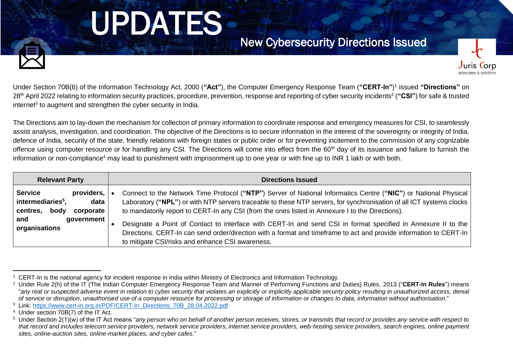# UPDATES

Juris Corp



Under Section 70B(6) of the Information Technology Act, 2000 (**"Act"**), the Computer Emergency Response Team (**"CERT-In"**) 1 issued **"Directions"** on 28<sup>th</sup> April 2022 relating to information security practices, procedure, prevention, response and reporting of cyber security incidents<sup>2</sup> ("CSI") for safe & trusted internet<sup>3</sup> to augment and strengthen the cyber security in India.

The Directions aim to lay-down the mechanism for collection of primary information to coordinate response and emergency measures for CSI, to seamlessly assist analysis, investigation, and coordination. The objective of the Directions is to secure information in the interest of the sovereignty or integrity of India, defence of India, security of the state, friendly relations with foreign states or public order or for preventing incitement to the commission of any cognizable offence using computer resource or for handling any CSI. The Directions will come into effect from the 60<sup>th</sup> day of its issuance and failure to furnish the information or non-compliance<sup>4</sup> may lead to punishment with imprisonment up to one year or with fine up to INR 1 lakh or with both.

| <b>Relevant Party</b>                                                                                      | <b>Directions Issued</b>                                                                                                                                                                                                                                                                                                                    |
|------------------------------------------------------------------------------------------------------------|---------------------------------------------------------------------------------------------------------------------------------------------------------------------------------------------------------------------------------------------------------------------------------------------------------------------------------------------|
| <b>Service</b><br>providers,<br>$ $ intermediaries <sup>5</sup> .<br>data<br>body<br>corporate<br>centres, | Connect to the Network Time Protocol ("NTP") Server of National Informatics Centre ("NIC") or National Physical<br>Laboratory ("NPL") or with NTP servers traceable to these NTP servers, for synchronisation of all ICT systems clocks<br>to mandatorily report to CERT-In any CSI (from the ones listed in Annexure I to the Directions). |
| and<br>government<br>organisations                                                                         | Designate a Point of Contact to interface with CERT-In and send CSI in format specified in Annexure II to the<br>Directions. CERT-In can send order/direction with a format and timeframe to act and provide information to CERT-In<br>to mitigate CSI/risks and enhance CSI awareness.                                                     |

<sup>&</sup>lt;sup>1</sup> CERT-In is the national agency for incident response in India within Ministry of Electronics and Information Technology.

<sup>2</sup> Under Rule 2(h) of the IT (The Indian Computer Emergency Response Team and Manner of Performing Functions and Duties) Rules, 2013 ("**CERT-In Rules**") means "*any real or suspected adverse event in relation to cyber security that violates an explicitly or implicitly applicable security policy resulting in unauthorized access, denial of service or disruption, unauthorised use of a computer resource for processing or storage of information or changes to data, information without authorisation.*"

<sup>3</sup> Link: [https://www.cert-in.org.in/PDF/CERT-In\\_Directions\\_70B\\_28.04.2022.pdf](https://www.cert-in.org.in/PDF/CERT-In_Directions_70B_28.04.2022.pdf)

<sup>4</sup> Under section 70B(7) of the IT Act.

<sup>5</sup> Under Section 2(1)(w) of the IT Act means "*any person who on behalf of another person receives, stores, or transmits that record or provides any service with respect to that record and includes telecom service providers, network service providers, internet service providers, web-hosting service providers, search engines, online payment sites, online-auction sites, online-market places, and cyber cafes.*"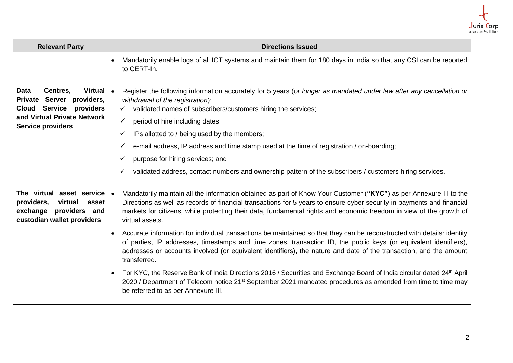

| <b>Relevant Party</b>                                                                                                                                                        | <b>Directions Issued</b>                                                                                                                                                                                                                                                                                                                                                                                                                                                                                                                                                       |
|------------------------------------------------------------------------------------------------------------------------------------------------------------------------------|--------------------------------------------------------------------------------------------------------------------------------------------------------------------------------------------------------------------------------------------------------------------------------------------------------------------------------------------------------------------------------------------------------------------------------------------------------------------------------------------------------------------------------------------------------------------------------|
|                                                                                                                                                                              | Mandatorily enable logs of all ICT systems and maintain them for 180 days in India so that any CSI can be reported<br>to CERT-In.                                                                                                                                                                                                                                                                                                                                                                                                                                              |
| <b>Data</b><br>Centres,<br>Virtual $\vert \cdot \vert$<br>Private Server providers,<br>Service providers<br>Cloud<br>and Virtual Private Network<br><b>Service providers</b> | Register the following information accurately for 5 years (or longer as mandated under law after any cancellation or<br>withdrawal of the registration):<br>validated names of subscribers/customers hiring the services;<br>✓<br>period of hire including dates;<br>$\checkmark$<br>IPs allotted to / being used by the members;<br>e-mail address, IP address and time stamp used at the time of registration / on-boarding;<br>purpose for hiring services; and<br>validated address, contact numbers and ownership pattern of the subscribers / customers hiring services. |
| The virtual asset service<br>providers,<br>virtual<br>asset<br>exchange<br>providers<br>and<br>custodian wallet providers                                                    | Mandatorily maintain all the information obtained as part of Know Your Customer ("KYC") as per Annexure III to the<br>$\bullet$<br>Directions as well as records of financial transactions for 5 years to ensure cyber security in payments and financial<br>markets for citizens, while protecting their data, fundamental rights and economic freedom in view of the growth of<br>virtual assets.                                                                                                                                                                            |
|                                                                                                                                                                              | Accurate information for individual transactions be maintained so that they can be reconstructed with details: identity<br>$\bullet$<br>of parties, IP addresses, timestamps and time zones, transaction ID, the public keys (or equivalent identifiers),<br>addresses or accounts involved (or equivalent identifiers), the nature and date of the transaction, and the amount<br>transferred.                                                                                                                                                                                |
|                                                                                                                                                                              | For KYC, the Reserve Bank of India Directions 2016 / Securities and Exchange Board of India circular dated 24th April<br>2020 / Department of Telecom notice 21 <sup>st</sup> September 2021 mandated procedures as amended from time to time may<br>be referred to as per Annexure III.                                                                                                                                                                                                                                                                                       |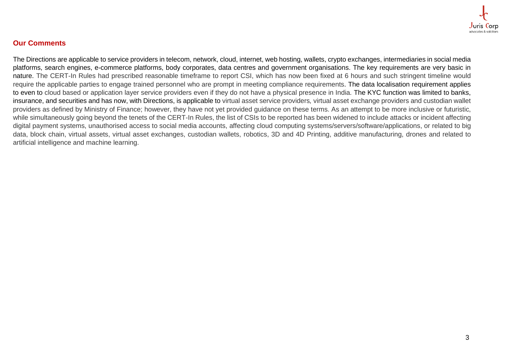

#### **Our Comments**

The Directions are applicable to service providers in telecom, network, cloud, internet, web hosting, wallets, crypto exchanges, intermediaries in social media platforms, search engines, e-commerce platforms, body corporates, data centres and government organisations. The key requirements are very basic in nature. The CERT-In Rules had prescribed reasonable timeframe to report CSI, which has now been fixed at 6 hours and such stringent timeline would require the applicable parties to engage trained personnel who are prompt in meeting compliance requirements. The data localisation requirement applies to even to cloud based or application layer service providers even if they do not have a physical presence in India. The KYC function was limited to banks, insurance, and securities and has now, with Directions, is applicable to virtual asset service providers*,* virtual asset exchange providers and custodian wallet providers as defined by Ministry of Finance; however, they have not yet provided guidance on these terms. As an attempt to be more inclusive or futuristic, while simultaneously going beyond the tenets of the CERT-In Rules, the list of CSIs to be reported has been widened to include attacks or incident affecting digital payment systems, unauthorised access to social media accounts, affecting cloud computing systems/servers/software/applications, or related to big data, block chain, virtual assets, virtual asset exchanges, custodian wallets, robotics, 3D and 4D Printing, additive manufacturing, drones and related to artificial intelligence and machine learning.